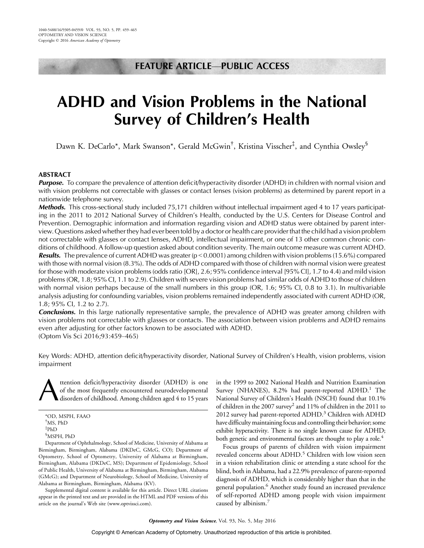# FEATURE ARTICLE-PUBLIC ACCESS

# ADHD and Vision Problems in the National Survey of Children's Health

Dawn K. DeCarlo\*, Mark Swanson\*, Gerald McGwin<sup>†</sup>, Kristina Visscher<sup>‡</sup>, and Cynthia Owsley<sup>§</sup>

#### ABSTRACT

**Purpose.** To compare the prevalence of attention deficit/hyperactivity disorder (ADHD) in children with normal vision and with vision problems not correctable with glasses or contact lenses (vision problems) as determined by parent report in a nationwide telephone survey.

Methods. This cross-sectional study included 75,171 children without intellectual impairment aged 4 to 17 years participating in the 2011 to 2012 National Survey of Children's Health, conducted by the U.S. Centers for Disease Control and Prevention. Demographic information and information regarding vision and ADHD status were obtained by parent interview. Questions asked whether they had ever been told by a doctor or health care provider that the child had a vision problem not correctable with glasses or contact lenses, ADHD, intellectual impairment, or one of 13 other common chronic conditions of childhood. A follow-up question asked about condition severity. The main outcome measure was current ADHD. **Results.** The prevalence of current ADHD was greater ( $p < 0.0001$ ) among children with vision problems (15.6%) compared with those with normal vision (8.3%). The odds of ADHD compared with those of children with normal vision were greatest for those with moderate vision problems (odds ratio [OR], 2.6; 95% confidence interval [95% CI], 1.7 to 4.4) and mild vision problems (OR, 1.8; 95% CI, 1.1 to 2.9). Children with severe vision problems had similar odds of ADHD to those of children with normal vision perhaps because of the small numbers in this group (OR, 1.6; 95% CI, 0.8 to 3.1). In multivariable analysis adjusting for confounding variables, vision problems remained independently associated with current ADHD (OR, 1.8; 95% CI, 1.2 to 2.7).

**Conclusions.** In this large nationally representative sample, the prevalence of ADHD was greater among children with vision problems not correctable with glasses or contacts. The association between vision problems and ADHD remains even after adjusting for other factors known to be associated with ADHD. (Optom Vis Sci 2016;93:459-465)

Key Words: ADHD, attention deficit/hyperactivity disorder, National Survey of Children's Health, vision problems, vision impairment

ttention deficit/hyperactivity disorder (ADHD) is one of the most frequently encountered neurodevelopmental disorders of childhood. Among children aged 4 to 15 years

Department of Ophthalmology, School of Medicine, University of Alabama at Birmingham, Birmingham, Alabama (DKDeC, GMcG, CO); Department of Optometry, School of Optometry, University of Alabama at Birmingham, Birmingham, Alabama (DKDeC, MS); Department of Epidemiology, School of Public Health, University of Alabama at Birmingham, Birmingham, Alabama (GMcG); and Department of Neurobiology, School of Medicine, University of Alabama at Birmingham, Birmingham, Alabama (KV).

Supplemental digital content is available for this article. Direct URL citations appear in the printed text and are provided in the HTML and PDF versions of this article on the journal's Web site (www.optvissci.com).

in the 1999 to 2002 National Health and Nutrition Examination Survey (NHANES),  $8.2\%$  had parent-reported ADHD.<sup>1</sup> The National Survey of Children's Health (NSCH) found that 10.1% of children in the 2007 survey2 and 11% of children in the 2011 to 2012 survey had parent-reported ADHD.<sup>3</sup> Children with ADHD have difficulty maintaining focus and controlling their behavior; some exhibit hyperactivity. There is no single known cause for ADHD; both genetic and environmental factors are thought to play a role.<sup>4</sup>

Focus groups of parents of children with vision impairment revealed concerns about ADHD.<sup>5</sup> Children with low vision seen in a vision rehabilitation clinic or attending a state school for the blind, both in Alabama, had a 22.9% prevalence of parent-reported diagnosis of ADHD, which is considerably higher than that in the general population.<sup>6</sup> Another study found an increased prevalence of self-reported ADHD among people with vision impairment caused by albinism.<sup>7</sup>

<sup>\*</sup>OD, MSPH, FAAO † MS, PhD ‡ PhD § MSPH, PhD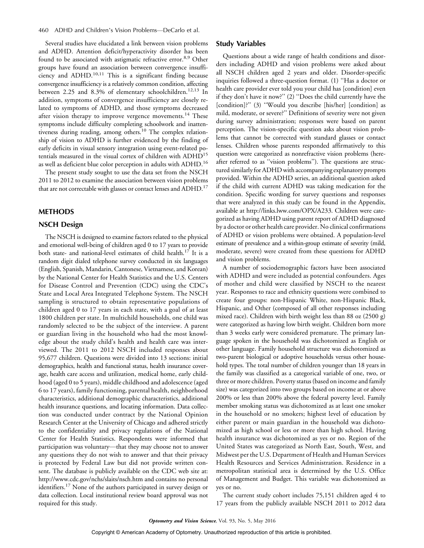Several studies have elucidated a link between vision problems and ADHD. Attention deficit/hyperactivity disorder has been found to be associated with astigmatic refractive error.<sup>8,9</sup> Other groups have found an association between convergence insufficiency and ADHD.<sup>10,11</sup> This is a significant finding because convergence insufficiency is a relatively common condition, affecting between 2.25 and 8.3% of elementary schoolchildren.<sup>12,13</sup> In addition, symptoms of convergence insufficiency are closely related to symptoms of ADHD, and those symptoms decreased after vision therapy to improve vergence movements.<sup>14</sup> These symptoms include difficulty completing schoolwork and inattentiveness during reading, among others.<sup>10</sup> The complex relationship of vision to ADHD is further evidenced by the finding of early deficits in visual sensory integration using event-related potentials measured in the visual cortex of children with ADHD<sup>15</sup> as well as deficient blue color perception in adults with ADHD.<sup>16</sup>

The present study sought to use the data set from the NSCH 2011 to 2012 to examine the association between vision problems that are not correctable with glasses or contact lenses and ADHD.<sup>17</sup>

#### METHODS

# NSCH Design

The NSCH is designed to examine factors related to the physical and emotional well-being of children aged 0 to 17 years to provide both state- and national-level estimates of child health.<sup>17</sup> It is a random digit dialed telephone survey conducted in six languages (English, Spanish, Mandarin, Cantonese, Vietnamese, and Korean) by the National Center for Health Statistics and the U.S. Centers for Disease Control and Prevention (CDC) using the CDC's State and Local Area Integrated Telephone System. The NSCH sampling is structured to obtain representative populations of children aged 0 to 17 years in each state, with a goal of at least 1800 children per state. In multichild households, one child was randomly selected to be the subject of the interview. A parent or guardian living in the household who had the most knowledge about the study child's health and health care was interviewed. The 2011 to 2012 NSCH included responses about 95,677 children. Questions were divided into 13 sections: initial demographics, health and functional status, health insurance coverage, health care access and utilization, medical home, early childhood (aged 0 to 5 years), middle childhood and adolescence (aged 6 to 17 years), family functioning, parental health, neighborhood characteristics, additional demographic characteristics, additional health insurance questions, and locating information. Data collection was conducted under contract by the National Opinion Research Center at the University of Chicago and adhered strictly to the confidentiality and privacy regulations of the National Center for Health Statistics. Respondents were informed that participation was voluntary—that they may choose not to answer any questions they do not wish to answer and that their privacy is protected by Federal Law but did not provide written consent. The database is publicly available on the CDC web site at: http://www.cdc.gov/nchs/slaits/nsch.htm and contains no personal identifiers.<sup>17</sup> None of the authors participated in survey design or data collection. Local institutional review board approval was not required for this study.

#### Study Variables

Questions about a wide range of health conditions and disorders including ADHD and vision problems were asked about all NSCH children aged 2 years and older. Disorder-specific inquiries followed a three-question format. (1) ''Has a doctor or health care provider ever told you your child has [condition] even if they don't have it now?'' (2) ''Does the child currently have the [condition]?'' (3) ''Would you describe [his/her] [condition] as mild, moderate, or severe?'' Definitions of severity were not given during survey administration; responses were based on parent perception. The vision-specific question asks about vision problems that cannot be corrected with standard glasses or contact lenses. Children whose parents responded affirmatively to this question were categorized as nonrefractive vision problems (hereafter referred to as ''vision problems''). The questions are structured similarly for ADHD with accompanying explanatory prompts provided. Within the ADHD series, an additional question asked if the child with current ADHD was taking medication for the condition. Specific wording for survey questions and responses that were analyzed in this study can be found in the Appendix, available at http://links.lww.com/OPX/A233. Children were categorized as having ADHD using parent report of ADHD diagnosed by a doctor or other health care provider. No clinical confirmations of ADHD or vision problems were obtained. A population-level estimate of prevalence and a within-group estimate of severity (mild, moderate, severe) were created from these questions for ADHD and vision problems.

A number of sociodemographic factors have been associated with ADHD and were included as potential confounders. Ages of mother and child were classified by NSCH to the nearest year. Responses to race and ethnicity questions were combined to create four groups: non-Hispanic White, non-Hispanic Black, Hispanic, and Other (composed of all other responses including mixed race). Children with birth weight less than 88 oz (2500 g) were categorized as having low birth weight. Children born more than 3 weeks early were considered premature. The primary language spoken in the household was dichotomized as English or other language. Family household structure was dichotomized as two-parent biological or adoptive households versus other household types. The total number of children younger than 18 years in the family was classified as a categorical variable of one, two, or three or more children. Poverty status (based on income and family size) was categorized into two groups based on income at or above 200% or less than 200% above the federal poverty level. Family member smoking status was dichotomized as at least one smoker in the household or no smokers; highest level of education by either parent or main guardian in the household was dichotomized as high school or less or more than high school. Having health insurance was dichotomized as yes or no. Region of the United States was categorized as North East, South, West, and Midwest per the U.S. Department of Health and Human Services Health Resources and Services Administration. Residence in a metropolitan statistical area is determined by the U.S. Office of Management and Budget. This variable was dichotomized as yes or no.

The current study cohort includes 75,151 children aged 4 to 17 years from the publicly available NSCH 2011 to 2012 data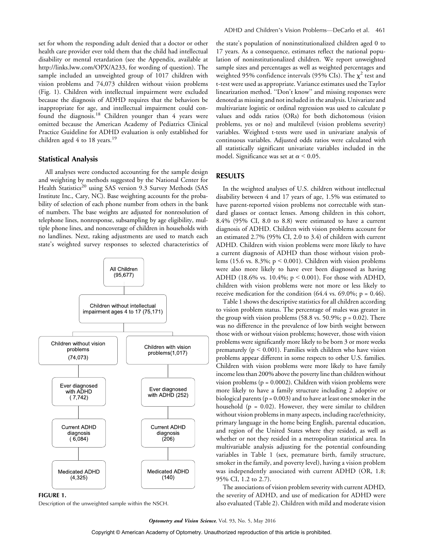set for whom the responding adult denied that a doctor or other health care provider ever told them that the child had intellectual disability or mental retardation (see the Appendix, available at http://links.lww.com/OPX/A233, for wording of question). The sample included an unweighted group of 1017 children with vision problems and 74,073 children without vision problems (Fig. 1). Children with intellectual impairment were excluded because the diagnosis of ADHD requires that the behaviors be inappropriate for age, and intellectual impairment could confound the diagnosis.<sup>18</sup> Children younger than 4 years were omitted because the American Academy of Pediatrics Clinical Practice Guideline for ADHD evaluation is only established for children aged 4 to 18 years.<sup>19</sup>

### Statistical Analysis

All analyses were conducted accounting for the sample design and weighting by methods suggested by the National Center for Health Statistics<sup>20</sup> using SAS version 9.3 Survey Methods (SAS Institute Inc., Cary, NC). Base weighting accounts for the probability of selection of each phone number from others in the bank of numbers. The base weights are adjusted for nonresolution of telephone lines, nonresponse, subsampling by age eligibility, multiple phone lines, and noncoverage of children in households with no landlines. Next, raking adjustments are used to match each state's weighted survey responses to selected characteristics of



FIGURE 1.

Description of the unweighted sample within the NSCH.

the state's population of noninstitutionalized children aged 0 to 17 years. As a consequence, estimates reflect the national population of noninstitutionalized children. We report unweighted sample sizes and percentages as well as weighted percentages and weighted 95% confidence intervals (95% CIs). The  $\chi^2$  test and t-test were used as appropriate. Variance estimates used the Taylor linearization method. ''Don't know'' and missing responses were denoted as missing and not included in the analysis. Univariate and multivariate logistic or ordinal regression was used to calculate p values and odds ratios (ORs) for both dichotomous (vision problems, yes or no) and multilevel (vision problems severity) variables. Weighted t-tests were used in univariate analysis of continuous variables. Adjusted odds ratios were calculated with all statistically significant univariate variables included in the model. Significance was set at  $\alpha$  < 0.05.

### RESULTS

In the weighted analyses of U.S. children without intellectual disability between 4 and 17 years of age, 1.5% was estimated to have parent-reported vision problems not correctable with standard glasses or contact lenses. Among children in this cohort, 8.4% (95% CI, 8.0 to 8.8) were estimated to have a current diagnosis of ADHD. Children with vision problems account for an estimated 2.7% (95% CI, 2.0 to 3.4) of children with current ADHD. Children with vision problems were more likely to have a current diagnosis of ADHD than those without vision problems (15.6 vs. 8.3%;  $p \le 0.001$ ). Children with vision problems were also more likely to have ever been diagnosed as having ADHD (18.6% vs. 10.4%;  $p < 0.001$ ). For those with ADHD, children with vision problems were not more or less likely to receive medication for the condition  $(64.4 \text{ vs. } 69.0\%; p = 0.46)$ .

Table 1 shows the descriptive statistics for all children according to vision problem status. The percentage of males was greater in the group with vision problems  $(58.8 \text{ vs. } 50.9\%; p = 0.02)$ . There was no difference in the prevalence of low birth weight between those with or without vision problems; however, those with vision problems were significantly more likely to be born 3 or more weeks prematurely ( $p < 0.001$ ). Families with children who have vision problems appear different in some respects to other U.S. families. Children with vision problems were more likely to have family income less than 200% above the poverty line than children without vision problems ( $p = 0.0002$ ). Children with vision problems were more likely to have a family structure including 2 adoptive or biological parents ( $p = 0.003$ ) and to have at least one smoker in the household ( $p = 0.02$ ). However, they were similar to children without vision problems in many aspects, including race/ethnicity, primary language in the home being English, parental education, and region of the United States where they resided, as well as whether or not they resided in a metropolitan statistical area. In multivariable analysis adjusting for the potential confounding variables in Table 1 (sex, premature birth, family structure, smoker in the family, and poverty level), having a vision problem was independently associated with current ADHD (OR, 1.8; 95% CI, 1.2 to 2.7).

The associations of vision problem severity with current ADHD, the severity of ADHD, and use of medication for ADHD were also evaluated (Table 2). Children with mild and moderate vision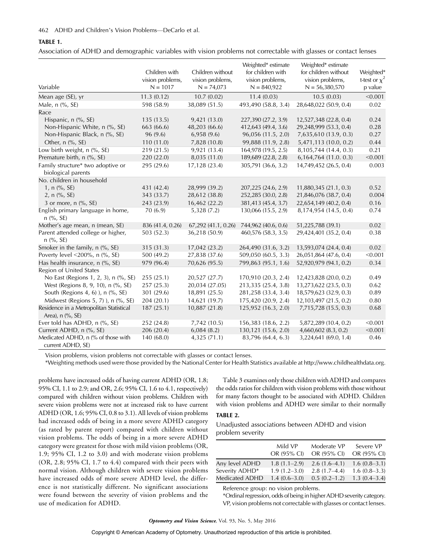#### TABLE 1.

Association of ADHD and demographic variables with vision problems not correctable with glasses or contact lenses

| Variable                                                    | Children with<br>vision problems,<br>$N = 1017$ | Children without<br>vision problems,<br>$N = 74,073$ | Weighted* estimate<br>for children with<br>vision problems,<br>$N = 840,922$ | Weighted* estimate<br>for children without<br>vision problems,<br>$N = 56,380,570$ | Weighted*<br>t-test or $\chi^2$<br>p value |
|-------------------------------------------------------------|-------------------------------------------------|------------------------------------------------------|------------------------------------------------------------------------------|------------------------------------------------------------------------------------|--------------------------------------------|
| Mean age (SE), yr                                           | 11.3(0.12)                                      | 10.7(0.02)                                           | 11.4(0.03)                                                                   | 10.5(0.03)                                                                         | < 0.001                                    |
| Male, n (%, SE)                                             | 598 (58.9)                                      | 38,089 (51.5)                                        | 493,490 (58.8, 3.4)                                                          | 28,648,022 (50.9, 0.4)                                                             | 0.02                                       |
| Race                                                        |                                                 |                                                      |                                                                              |                                                                                    |                                            |
| Hispanic, n (%, SE)                                         | 135(13.5)                                       | 9,421 (13.0)                                         | 227,390 (27.2, 3.9)                                                          | 12,527,348 (22.8, 0.4)                                                             | 0.24                                       |
| Non-Hispanic White, n (%, SE)                               | 663 (66.6)                                      | 48,203 (66.6)                                        | 412,643 (49.4, 3.6)                                                          | 29,248,999 (53.3, 0.4)                                                             | 0.28                                       |
| Non-Hispanic Black, n (%, SE)                               | 96 (9.6)                                        | 6,958(9.6)                                           | 96,056 (11.5, 2.0)                                                           | 7,635,610 (13.9, 0.3)                                                              | 0.27                                       |
| Other, n (%, SE)                                            | 110(11.0)                                       | 7,828 (10.8)                                         | 99,888 (11.9, 2.8)                                                           | 5,471,113 (10.0, 0.2)                                                              | 0.44                                       |
| Low birth weight, n (%, SE)                                 | 219(21.5)                                       | 9,921(13.4)                                          | 164,978 (19.5, 2.5)                                                          | 8,105,744 (14.4, 0.3)                                                              | 0.21                                       |
| Premature birth, n (%, SE)                                  | 220 (22.0)                                      | 8,035 (11.0)                                         | 189,689 (22.8, 2.8)                                                          | 6, 164, 764 (11.0. 0.3)                                                            | < 0.001                                    |
| Family structure* two adoptive or<br>biological parents     | 295 (29.6)                                      | 17,128 (23.4)                                        | 305,791 (36.6, 3.2)                                                          | 14,749,452 (26.5, 0.4)                                                             | 0.003                                      |
| No. children in household                                   |                                                 |                                                      |                                                                              |                                                                                    |                                            |
| 1, n (%, SE)                                                | 431 (42.4)                                      | 28,999 (39.2)                                        | 207,225 (24.6, 2.9)                                                          | 11,880,345 (21.1, 0.3)                                                             | 0.52                                       |
| 2, n (%, SE)                                                | 343 (33.7)                                      | 28,612 (38.8)                                        | 252,285 (30.0, 2.8)                                                          | 21,846,076 (38.7, 0.4)                                                             | 0.004                                      |
| 3 or more, n (%, SE)                                        | 243 (23.9)                                      | 16,462 (22.2)                                        | 381,413 (45.4, 3.7)                                                          | 22,654,149 (40.2, 0.4)                                                             | 0.16                                       |
| English primary language in home,<br>$n$ (%, SE)            | 70 (6.9)                                        | 5,328 (7.2)                                          | 130,066 (15.5, 2.9)                                                          | 8,174,954 (14.5, 0.4)                                                              | 0.74                                       |
| Mother's age mean, n (mean, SE)                             | 836 (41.4, 0.26)                                | 67,292 (41.1, 0.26)                                  | 744,962 (40.6, 0.6)                                                          | 51,225,788 (39.1)                                                                  | 0.02                                       |
| Parent attended college or higher,<br>$n$ (%, SE)           | 503 (52.3)                                      | 36,218 (50.9)                                        | 460,576 (58.3, 3.5)                                                          | 29,424,401 (35.2, 0.4)                                                             | 0.38                                       |
| Smoker in the family, n (%, SE)                             | 315 (31.3)                                      | 17,042 (23.2)                                        | 264,490 (31.6, 3.2)                                                          | 13,593,074 (24.4, 0.4)                                                             | 0.02                                       |
| Poverty level <200%, n (%, SE)                              | 500 (49.2)                                      | 27,838 (37.6)                                        | 509,050 (60.5, 3.3)                                                          | 26,051,864 (47.6, 0.4)                                                             | < 0.001                                    |
| Has health insurance, n (%, SE)                             | 979 (96.4)                                      | 70,626 (95.5)                                        | 799,863 (95.1, 1.6)                                                          | 52,920,979 (94.1, 0.2)                                                             | 0.34                                       |
| Region of United States                                     |                                                 |                                                      |                                                                              |                                                                                    |                                            |
| No East (Regions 1, 2, 3), n (%, SE)                        | 255(25.1)                                       | 20,527 (27.7)                                        | 170,910 (20.3, 2.4)                                                          | 12,423,828 (20.0, 0.2)                                                             | 0.49                                       |
| West (Regions 8, 9, 10), n (%, SE)                          | 257 (25.3)                                      | 20,034 (27.05)                                       | 213,335 (25.4, 3.8)                                                          | 13,273,622 (23.5, 0.3)                                                             | 0.62                                       |
| South (Regions 4, 6) ), n (%, SE)                           | 301 (29.6)                                      | 18,891 (25.5)                                        | 281,258 (33.4, 3.4)                                                          | 18,579,623 (32.9, 0.3)                                                             | 0.89                                       |
| Midwest (Regions 5, 7) ), $n$ (%, SE)                       | 204 (20.1)                                      | 14,621 (19.7)                                        | 175,420 (20.9, 2.4)                                                          | 12,103,497 (21.5, 0.2)                                                             | 0.80                                       |
| Residence in a Metropolitan Statistical<br>Area), n (%, SE) | 187(25.1)                                       | 10,887 (21.8)                                        | 125,952 (16.3, 2.0)                                                          | 7,715,728 (15.5, 0.3)                                                              | 0.68                                       |
| Ever told has ADHD, n (%, SE)                               | 252 (24.8)                                      | 7,742 (10.5)                                         | 156,383 (18.6, 2.2)                                                          | 5,872,289 (10.4, 0.2)                                                              | < 0.001                                    |
| Current ADHD, n (%, SE)                                     | 206 (20.4)                                      | 6,084(8.2)                                           | 130,121 (15.6, 2.0)                                                          | 4,660,602 (8.3, 0.2)                                                               | < 0.001                                    |
| Medicated ADHD, n (% of those with<br>current ADHD, SE)     | 140 (68.0)                                      | 4,325(71.1)                                          | 83,796 (64.4, 6.3)                                                           | 3,224,641 (69.0, 1.4)                                                              | 0.46                                       |

Vision problems, vision problems not correctable with glasses or contact lenses.

\*Weighting methods used were those provided by the National Center for Health Statistics available at http://www.childhealthdata.org.

problems have increased odds of having current ADHD (OR, 1.8; 95% CI, 1.1 to 2.9; and OR, 2.6; 95% CI, 1.6 to 4.1, respectively) compared with children without vision problems. Children with severe vision problems were not at increased risk to have current ADHD (OR, 1.6; 95% CI, 0.8 to 3.1). All levels of vision problems had increased odds of being in a more severe ADHD category (as rated by parent report) compared with children without vision problems. The odds of being in a more severe ADHD category were greatest for those with mild vision problems (OR, 1.9; 95% CI, 1.2 to 3.0) and with moderate vision problems (OR, 2.8; 95% CI, 1.7 to 4.4) compared with their peers with normal vision. Although children with severe vision problems have increased odds of more severe ADHD level, the difference is not statistically different. No significant associations were found between the severity of vision problems and the use of medication for ADHD.

Table 3 examines only those children with ADHD and compares the odds ratios for children with vision problems with those without for many factors thought to be associated with ADHD. Children with vision problems and ADHD were similar to their normally

# TABLE 2.

Unadjusted associations between ADHD and vision problem severity

|                | Mild VP<br>OR (95% CI) | Moderate VP<br>OR (95% CI) | Severe VP<br>OR (95% CI) |
|----------------|------------------------|----------------------------|--------------------------|
| Any level ADHD | $1.8(1.1-2.9)$         | $2.6(1.6-4.1)$             | $1.6(0.8-3.1)$           |
| Severity ADHD* | $1.9(1.2 - 3.0)$       | $2.8(1.7-4.4)$             | $1.6(0.8-3.3)$           |
| Medicated ADHD | $1.4(0.6-3.0)$         | $0.5(0.2-1.2)$             | $1.3(0.4-3.4)$           |

Reference group: no vision problems.

\*Ordinal regression, odds of being in higher ADHD severity category. VP, vision problems not correctable with glasses or contact lenses.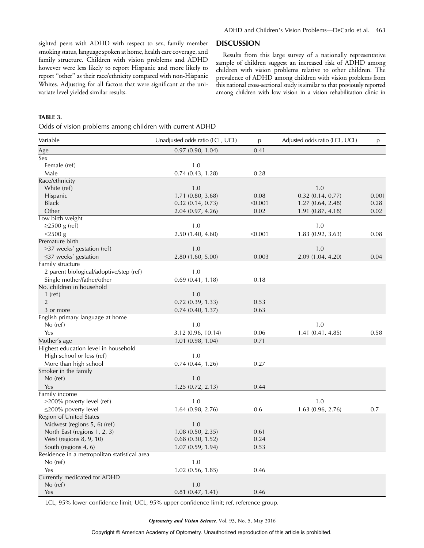sighted peers with ADHD with respect to sex, family member smoking status, language spoken at home, health care coverage, and family structure. Children with vision problems and ADHD however were less likely to report Hispanic and more likely to report ''other'' as their race/ethnicity compared with non-Hispanic Whites. Adjusting for all factors that were significant at the univariate level yielded similar results.

#### **DISCUSSION**

Results from this large survey of a nationally representative sample of children suggest an increased risk of ADHD among children with vision problems relative to other children. The prevalence of ADHD among children with vision problems from this national cross-sectional study is similar to that previously reported among children with low vision in a vision rehabilitation clinic in

#### TABLE 3.

Odds of vision problems among children with current ADHD

| Variable                                                | Unadjusted odds ratio (LCL, UCL) | p       | Adjusted odds ratio (LCL, UCL) | p     |
|---------------------------------------------------------|----------------------------------|---------|--------------------------------|-------|
| Age                                                     | 0.97(0.90, 1.04)                 | 0.41    |                                |       |
| Sex                                                     |                                  |         |                                |       |
| Female (ref)                                            | 1.0                              |         |                                |       |
| Male                                                    | 0.74(0.43, 1.28)                 | 0.28    |                                |       |
| Race/ethnicity                                          |                                  |         |                                |       |
| White (ref)                                             | 1.0                              |         | 1.0                            |       |
| Hispanic                                                | 1.71 (0.80, 3.68)                | 0.08    | $0.32$ (0.14, 0.77)            | 0.001 |
| <b>Black</b>                                            | $0.32$ $(0.14, 0.73)$            | < 0.001 | 1.27(0.64, 2.48)               | 0.28  |
| Other                                                   | 2.04(0.97, 4.26)                 | 0.02    | 1.91(0.87, 4.18)               | 0.02  |
| Low birth weight                                        |                                  |         |                                |       |
| $\geq$ 2500 g (ref)                                     | 1.0                              |         | 1.0                            |       |
| $<$ 2500 g                                              | 2.50 (1.40, 4.60)                | < 0.001 | 1.83 (0.92, 3.63)              | 0.08  |
| Premature birth                                         |                                  |         |                                |       |
| >37 weeks' gestation (ref)                              | 1.0                              |         | 1.0                            |       |
| $\leq$ 37 weeks' gestation                              | 2.80 (1.60, 5.00)                | 0.003   | 2.09 (1.04, 4.20)              | 0.04  |
| Family structure                                        |                                  |         |                                |       |
| 2 parent biological/adoptive/step (ref)                 | 1.0                              |         |                                |       |
| Single mother/father/other<br>No. children in household | $0.69$ $(0.41, 1.18)$            | 0.18    |                                |       |
| $1$ (ref)                                               | 1.0                              |         |                                |       |
| $\overline{2}$                                          | 0.72(0.39, 1.33)                 | 0.53    |                                |       |
| 3 or more                                               | 0.74(0.40, 1.37)                 | 0.63    |                                |       |
| English primary language at home                        |                                  |         |                                |       |
| No (ref)                                                | 1.0                              |         | 1.0                            |       |
| Yes                                                     | 3.12 (0.96, 10.14)               | 0.06    | 1.41(0.41, 4.85)               | 0.58  |
| Mother's age                                            | $1.01$ $(0.98, 1.04)$            | 0.71    |                                |       |
| Highest education level in household                    |                                  |         |                                |       |
| High school or less (ref)                               | 1.0                              |         |                                |       |
| More than high school                                   | 0.74(0.44, 1.26)                 | 0.27    |                                |       |
| Smoker in the family                                    |                                  |         |                                |       |
| No (ref)                                                | 1.0                              |         |                                |       |
| Yes                                                     | 1.25(0.72, 2.13)                 | 0.44    |                                |       |
| Family income                                           |                                  |         |                                |       |
| >200% poverty level (ref)                               | 1.0                              |         | 1.0                            |       |
| $\leq$ 200% poverty level                               | 1.64(0.98, 2.76)                 | 0.6     | 1.63(0.96, 2.76)               | 0.7   |
| Region of United States                                 |                                  |         |                                |       |
| Midwest (regions 5, 6) (ref)                            | 1.0                              |         |                                |       |
| North East (regions 1, 2, 3)                            | 1.08(0.50, 2.35)                 | 0.61    |                                |       |
| West (regions 8, 9, 10)                                 | $0.68$ $(0.30, 1.52)$            | 0.24    |                                |       |
| South (regions 4, 6)                                    | 1.07(0.59, 1.94)                 | 0.53    |                                |       |
| Residence in a metropolitan statistical area            | 1.0                              |         |                                |       |
| No (ref)                                                |                                  |         |                                |       |
| Yes<br>Currently medicated for ADHD                     | $1.02$ (0.56, 1.85)              | 0.46    |                                |       |
| $No$ (ref)                                              | 1.0                              |         |                                |       |
| Yes                                                     | $0.81$ $(0.47, 1.41)$            | 0.46    |                                |       |
|                                                         |                                  |         |                                |       |

LCL, 95% lower confidence limit; UCL, 95% upper confidence limit; ref, reference group.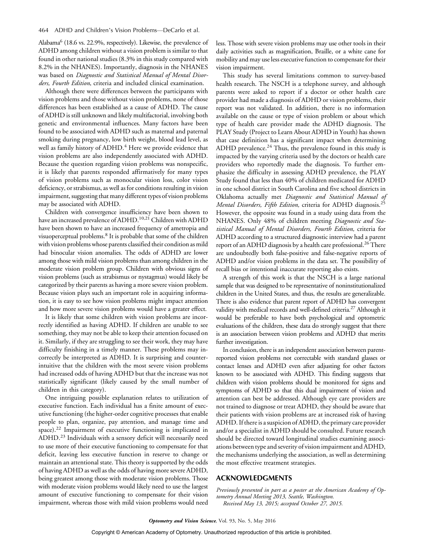Alabama<sup>6</sup> (18.6 vs. 22.9%, respectively). Likewise, the prevalence of ADHD among children without a vision problem is similar to that found in other national studies (8.3% in this study compared with 8.2% in the NHANES). Importantly, diagnosis in the NHANES was based on Diagnostic and Statistical Manual of Mental Disorders, Fourth Edition, criteria and included clinical examination.

Although there were differences between the participants with vision problems and those without vision problems, none of those differences has been established as a cause of ADHD. The cause of ADHD is still unknown and likely multifactorial, involving both genetic and environmental influences. Many factors have been found to be associated with ADHD such as maternal and paternal smoking during pregnancy, low birth weight, blood lead level, as well as family history of ADHD.<sup>4</sup> Here we provide evidence that vision problems are also independently associated with ADHD. Because the question regarding vision problems was nonspecific, it is likely that parents responded affirmatively for many types of vision problems such as monocular vision loss, color vision deficiency, or strabismus, as well as for conditions resulting in vision impairment, suggesting that many different types of vision problems may be associated with ADHD.

Children with convergence insufficiency have been shown to have an increased prevalence of ADHD.<sup>10,21</sup> Children with ADHD have been shown to have an increased frequency of ametropia and visuoperceptual problems.8 It is probable that some of the children with vision problems whose parents classified their condition as mild had binocular vision anomalies. The odds of ADHD are lower among those with mild vision problems than among children in the moderate vision problem group. Children with obvious signs of vision problems (such as strabismus or nystagmus) would likely be categorized by their parents as having a more severe vision problem. Because vision plays such an important role in acquiring information, it is easy to see how vision problems might impact attention and how more severe vision problems would have a greater effect.

It is likely that some children with vision problems are incorrectly identified as having ADHD. If children are unable to see something, they may not be able to keep their attention focused on it. Similarly, if they are struggling to see their work, they may have difficulty finishing in a timely manner. These problems may incorrectly be interpreted as ADHD. It is surprising and counterintuitive that the children with the most severe vision problems had increased odds of having ADHD but that the increase was not statistically significant (likely caused by the small number of children in this category).

One intriguing possible explanation relates to utilization of executive function. Each individual has a finite amount of executive functioning (the higher-order cognitive processes that enable people to plan, organize, pay attention, and manage time and space).<sup>22</sup> Impairment of executive functioning is implicated in ADHD.<sup>23</sup> Individuals with a sensory deficit will necessarily need to use more of their executive functioning to compensate for that deficit, leaving less executive function in reserve to change or maintain an attentional state. This theory is supported by the odds of having ADHD as well as the odds of having more severe ADHD, being greatest among those with moderate vision problems. Those with moderate vision problems would likely need to use the largest amount of executive functioning to compensate for their vision impairment, whereas those with mild vision problems would need

less. Those with severe vision problems may use other tools in their daily activities such as magnification, Braille, or a white cane for mobility and may use less executive function to compensate for their vision impairment.

This study has several limitations common to survey-based health research. The NSCH is a telephone survey, and although parents were asked to report if a doctor or other health care provider had made a diagnosis of ADHD or vision problems, their report was not validated. In addition, there is no information available on the cause or type of vision problem or about which type of health care provider made the ADHD diagnosis. The PLAY Study (Project to Learn About ADHD in Youth) has shown that case definition has a significant impact when determining ADHD prevalence. $24$  Thus, the prevalence found in this study is impacted by the varying criteria used by the doctors or health care providers who reportedly made the diagnosis. To further emphasize the difficulty in assessing ADHD prevalence, the PLAY Study found that less than 40% of children medicated for ADHD in one school district in South Carolina and five school districts in Oklahoma actually met Diagnostic and Statistical Manual of Mental Disorders, Fifth Edition, criteria for ADHD diagnosis.<sup>25</sup> However, the opposite was found in a study using data from the NHANES. Only 48% of children meeting Diagnostic and Statistical Manual of Mental Disorders, Fourth Edition, criteria for ADHD according to a structured diagnostic interview had a parent report of an ADHD diagnosis by a health care professional.<sup>26</sup> There are undoubtedly both false-positive and false-negative reports of ADHD and/or vision problems in the data set. The possibility of recall bias or intentional inaccurate reporting also exists.

A strength of this work is that the NSCH is a large national sample that was designed to be representative of noninstitutionalized children in the United States, and thus, the results are generalizable. There is also evidence that parent report of ADHD has convergent validity with medical records and well-defined criteria.<sup>27</sup> Although it would be preferable to have both psychological and optometric evaluations of the children, these data do strongly suggest that there is an association between vision problems and ADHD that merits further investigation.

In conclusion, there is an independent association between parentreported vision problems not correctable with standard glasses or contact lenses and ADHD even after adjusting for other factors known to be associated with ADHD. This finding suggests that children with vision problems should be monitored for signs and symptoms of ADHD so that this dual impairment of vision and attention can best be addressed. Although eye care providers are not trained to diagnose or treat ADHD, they should be aware that their patients with vision problems are at increased risk of having ADHD. If there is a suspicion of ADHD, the primary care provider and/or a specialist in ADHD should be consulted. Future research should be directed toward longitudinal studies examining associations between type and severity of vision impairment and ADHD, the mechanisms underlying the association, as well as determining the most effective treatment strategies.

# ACKNOWLEDGMENTS

Previously presented in part as a poster at the American Academy of Optometry Annual Meeting 2013, Seattle, Washington. Received May 13, 2015; accepted October 27, 2015.